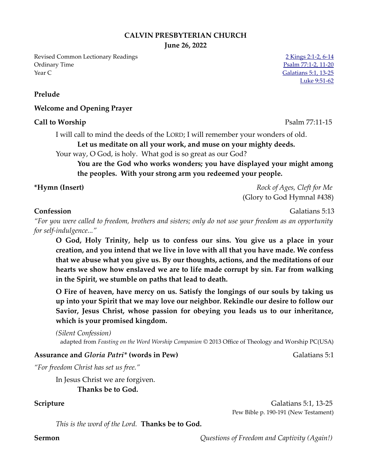## **CALVIN PRESBYTERIAN CHURCH**

**June 26, 2022**

Revised Common Lectionary Readings 2 [2 Kings 2:1-2, 6-14](https://www.biblegateway.com/passage/?search=2+Kings+2%3A1-2%2C+6-14&version=NRSVUE) Ordinary Time [Psalm 77:1-2, 11-20](https://www.biblegateway.com/passage/?search=Psalm+77%3A1-2%2C+11-20&version=NRSVUE) Year C [Galatians 5:1, 13-25](https://www.biblegateway.com/passage/?search=Galatians+5%3A1%2C+13-25&version=NRSVUE)

**Prelude**

## **Welcome and Opening Prayer**

## **Call to Worship** Psalm 77:11-15

I will call to mind the deeds of the LORD; I will remember your wonders of old.

**Let us meditate on all your work, and muse on your mighty deeds.**

Your way, O God, is holy. What god is so great as our God?

**You are the God who works wonders; you have displayed your might among the peoples. With your strong arm you redeemed your people.** 

**\*Hymn (Insert)** *Rock of Ages, Cleft for Me* 

(Glory to God Hymnal #438)

**Confession** Galatians 5:13

*"For you were called to freedom, brothers and sisters; only do not use your freedom as an opportunity for self-indulgence..."*

**O God, Holy Trinity, help us to confess our sins. You give us a place in your creation, and you intend that we live in love with all that you have made. We confess that we abuse what you give us. By our thoughts, actions, and the meditations of our hearts we show how enslaved we are to life made corrupt by sin. Far from walking in the Spirit, we stumble on paths that lead to death.**

**O Fire of heaven, have mercy on us. Satisfy the longings of our souls by taking us up into your Spirit that we may love our neighbor. Rekindle our desire to follow our Savior, Jesus Christ, whose passion for obeying you leads us to our inheritance, which is your promised kingdom.** 

*(Silent Confession)* adapted from *Feasting on the Word Worship Companion* © 2013 Office of Theology and Worship PC(USA)

## **Assurance and** *Gloria Patri\** (words in Pew) Galatians 5:1

*"For freedom Christ has set us free."* 

In Jesus Christ we are forgiven. **Thanks be to God.**

**Scripture** Galatians 5:1, 13-25 Pew Bible p. 190-191 (New Testament)

*This is the word of the Lord.* **Thanks be to God.**

**Sermon** *Questions of Freedom and Captivity (Again!)* 

[Luke 9:51-62](https://www.biblegateway.com/passage/?search=Luke+9%3A51-62&version=NRSVUE)